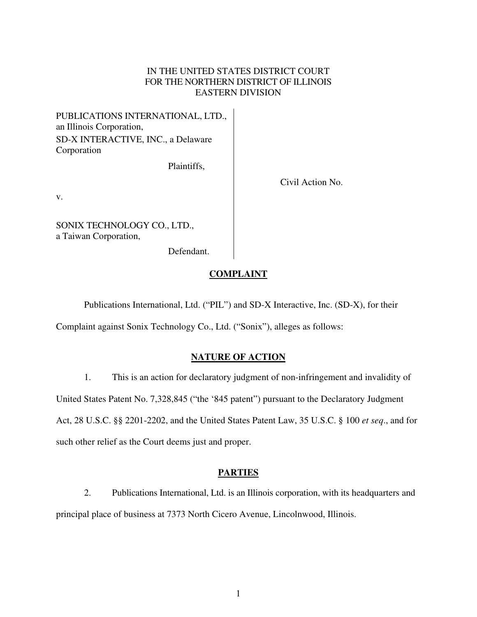## IN THE UNITED STATES DISTRICT COURT FOR THE NORTHERN DISTRICT OF ILLINOIS EASTERN DIVISION

PUBLICATIONS INTERNATIONAL, LTD., an Illinois Corporation, SD-X INTERACTIVE, INC., a Delaware Corporation

Plaintiffs,

Civil Action No.

v.

SONIX TECHNOLOGY CO., LTD., a Taiwan Corporation,

Defendant.

# **COMPLAINT**

Publications International, Ltd. ("PIL") and SD-X Interactive, Inc. (SD-X), for their

Complaint against Sonix Technology Co., Ltd. ("Sonix"), alleges as follows:

# **NATURE OF ACTION**

1. This is an action for declaratory judgment of non-infringement and invalidity of United States Patent No. 7,328,845 ("the '845 patent") pursuant to the Declaratory Judgment Act, 28 U.S.C. §§ 2201-2202, and the United States Patent Law, 35 U.S.C. § 100 *et seq*., and for such other relief as the Court deems just and proper.

## **PARTIES**

2. Publications International, Ltd. is an Illinois corporation, with its headquarters and principal place of business at 7373 North Cicero Avenue, Lincolnwood, Illinois.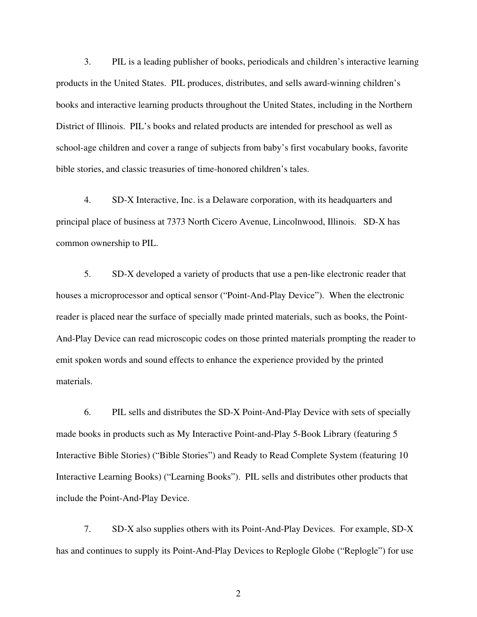3. PIL is a leading publisher of books, periodicals and children's interactive learning products in the United States. PIL produces, distributes, and sells award-winning children's books and interactive learning products throughout the United States, including in the Northern District of Illinois. PIL's books and related products are intended for preschool as well as school-age children and cover a range of subjects from baby's first vocabulary books, favorite bible stories, and classic treasuries of time-honored children's tales.

4. SD-X Interactive, Inc. is a Delaware corporation, with its headquarters and principal place of business at 7373 North Cicero Avenue, Lincolnwood, Illinois. SD-X has common ownership to PIL.

5. SD-X developed a variety of products that use a pen-like electronic reader that houses a microprocessor and optical sensor ("Point-And-Play Device"). When the electronic reader is placed near the surface of specially made printed materials, such as books, the Point-And-Play Device can read microscopic codes on those printed materials prompting the reader to emit spoken words and sound effects to enhance the experience provided by the printed materials.

6. PIL sells and distributes the SD-X Point-And-Play Device with sets of specially made books in products such as My Interactive Point-and-Play 5-Book Library (featuring 5 Interactive Bible Stories) ("Bible Stories") and Ready to Read Complete System (featuring 10 Interactive Learning Books) ("Learning Books"). PIL sells and distributes other products that include the Point-And-Play Device.

7. SD-X also supplies others with its Point-And-Play Devices. For example, SD-X has and continues to supply its Point-And-Play Devices to Replogle Globe ("Replogle") for use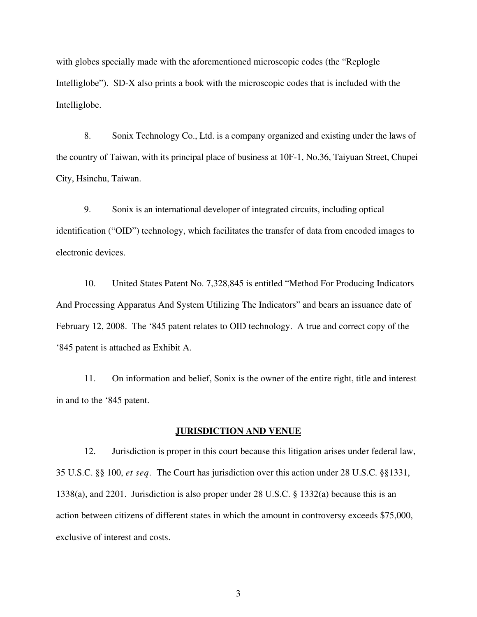with globes specially made with the aforementioned microscopic codes (the "Replogle" Intelliglobe"). SD-X also prints a book with the microscopic codes that is included with the Intelliglobe.

8. Sonix Technology Co., Ltd. is a company organized and existing under the laws of the country of Taiwan, with its principal place of business at 10F-1, No.36, Taiyuan Street, Chupei City, Hsinchu, Taiwan.

9. Sonix is an international developer of integrated circuits, including optical identification ("OID") technology, which facilitates the transfer of data from encoded images to electronic devices.

10. United States Patent No. 7,328,845 is entitled "Method For Producing Indicators And Processing Apparatus And System Utilizing The Indicators" and bears an issuance date of February 12, 2008. The '845 patent relates to OID technology. A true and correct copy of the '845 patent is attached as Exhibit A.

11. On information and belief, Sonix is the owner of the entire right, title and interest in and to the '845 patent.

#### **JURISDICTION AND VENUE**

12. Jurisdiction is proper in this court because this litigation arises under federal law, 35 U.S.C. §§ 100, *et seq*. The Court has jurisdiction over this action under 28 U.S.C. §§1331, 1338(a), and 2201. Jurisdiction is also proper under 28 U.S.C. § 1332(a) because this is an action between citizens of different states in which the amount in controversy exceeds \$75,000, exclusive of interest and costs.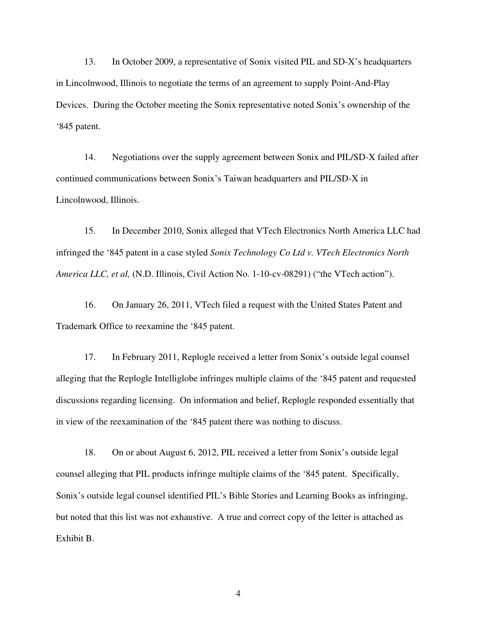13. In October 2009, a representative of Sonix visited PIL and SD-X's headquarters in Lincolnwood, Illinois to negotiate the terms of an agreement to supply Point-And-Play Devices. During the October meeting the Sonix representative noted Sonix's ownership of the '845 patent.

14. Negotiations over the supply agreement between Sonix and PIL/SD-X failed after continued communications between Sonix's Taiwan headquarters and PIL/SD-X in Lincolnwood, Illinois.

15. In December 2010, Sonix alleged that VTech Electronics North America LLC had infringed the '845 patent in a case styled *Sonix Technology Co Ltd v. VTech Electronics North America LLC, et al,* (N.D. Illinois, Civil Action No. 1-10-cv-08291) ("the VTech action").

16. On January 26, 2011, VTech filed a request with the United States Patent and Trademark Office to reexamine the '845 patent.

17. In February 2011, Replogle received a letter from Sonix's outside legal counsel alleging that the Replogle Intelliglobe infringes multiple claims of the '845 patent and requested discussions regarding licensing. On information and belief, Replogle responded essentially that in view of the reexamination of the '845 patent there was nothing to discuss.

18. On or about August 6, 2012, PIL received a letter from Sonix's outside legal counsel alleging that PIL products infringe multiple claims of the '845 patent. Specifically, Sonix's outside legal counsel identified PIL's Bible Stories and Learning Books as infringing, but noted that this list was not exhaustive. A true and correct copy of the letter is attached as Exhibit B.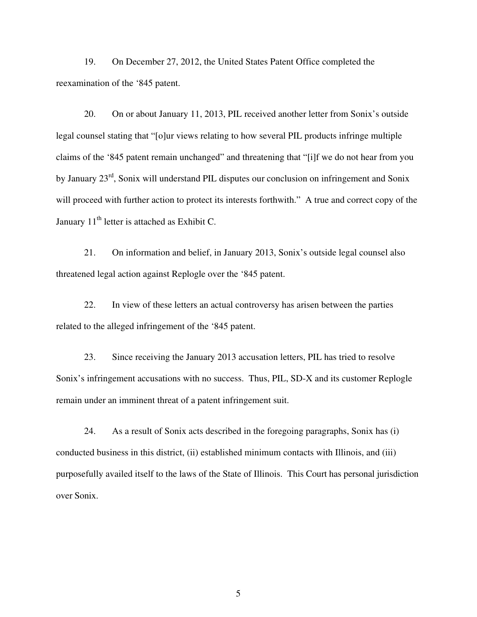19. On December 27, 2012, the United States Patent Office completed the reexamination of the '845 patent.

20. On or about January 11, 2013, PIL received another letter from Sonix's outside legal counsel stating that "[o]ur views relating to how several PIL products infringe multiple claims of the '845 patent remain unchanged" and threatening that "[i]f we do not hear from you by January 23<sup>rd</sup>, Sonix will understand PIL disputes our conclusion on infringement and Sonix will proceed with further action to protect its interests forthwith." A true and correct copy of the January 11<sup>th</sup> letter is attached as Exhibit C.

21. On information and belief, in January 2013, Sonix's outside legal counsel also threatened legal action against Replogle over the '845 patent.

22. In view of these letters an actual controversy has arisen between the parties related to the alleged infringement of the '845 patent.

23. Since receiving the January 2013 accusation letters, PIL has tried to resolve Sonix's infringement accusations with no success. Thus, PIL, SD-X and its customer Replogle remain under an imminent threat of a patent infringement suit.

24. As a result of Sonix acts described in the foregoing paragraphs, Sonix has (i) conducted business in this district, (ii) established minimum contacts with Illinois, and (iii) purposefully availed itself to the laws of the State of Illinois. This Court has personal jurisdiction over Sonix.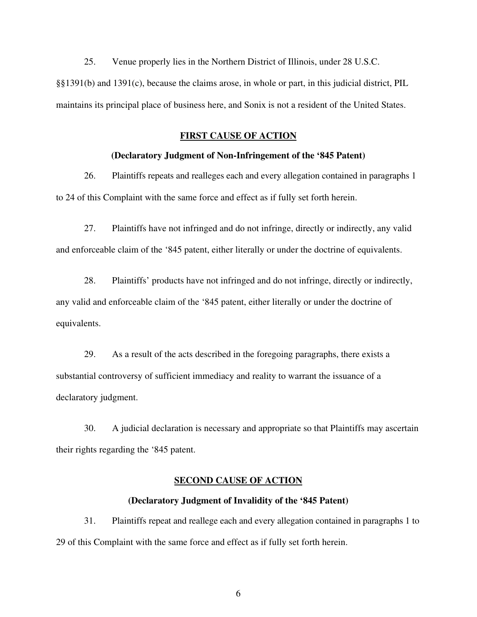25. Venue properly lies in the Northern District of Illinois, under 28 U.S.C.

§§1391(b) and 1391(c), because the claims arose, in whole or part, in this judicial district, PIL maintains its principal place of business here, and Sonix is not a resident of the United States.

### **FIRST CAUSE OF ACTION**

#### **(Declaratory Judgment of Non-Infringement of the '845 Patent)**

26. Plaintiffs repeats and realleges each and every allegation contained in paragraphs 1 to 24 of this Complaint with the same force and effect as if fully set forth herein.

27. Plaintiffs have not infringed and do not infringe, directly or indirectly, any valid and enforceable claim of the '845 patent, either literally or under the doctrine of equivalents.

28. Plaintiffs' products have not infringed and do not infringe, directly or indirectly, any valid and enforceable claim of the '845 patent, either literally or under the doctrine of equivalents.

29. As a result of the acts described in the foregoing paragraphs, there exists a substantial controversy of sufficient immediacy and reality to warrant the issuance of a declaratory judgment.

30. A judicial declaration is necessary and appropriate so that Plaintiffs may ascertain their rights regarding the '845 patent.

## **SECOND CAUSE OF ACTION**

### **(Declaratory Judgment of Invalidity of the '845 Patent)**

31. Plaintiffs repeat and reallege each and every allegation contained in paragraphs 1 to 29 of this Complaint with the same force and effect as if fully set forth herein.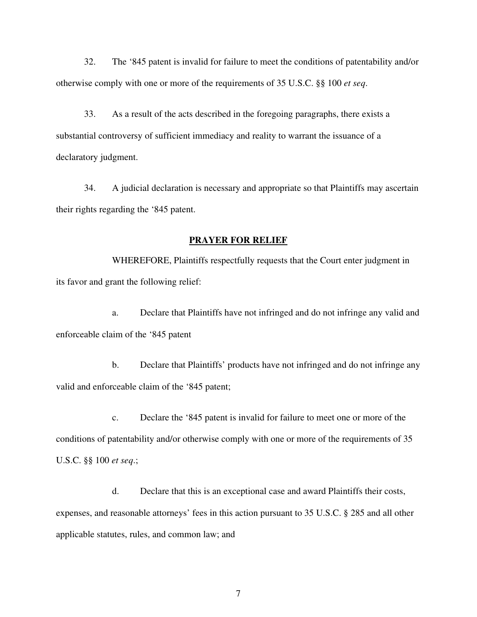32. The '845 patent is invalid for failure to meet the conditions of patentability and/or otherwise comply with one or more of the requirements of 35 U.S.C. §§ 100 *et seq*.

33. As a result of the acts described in the foregoing paragraphs, there exists a substantial controversy of sufficient immediacy and reality to warrant the issuance of a declaratory judgment.

34. A judicial declaration is necessary and appropriate so that Plaintiffs may ascertain their rights regarding the '845 patent.

#### **PRAYER FOR RELIEF**

WHEREFORE, Plaintiffs respectfully requests that the Court enter judgment in its favor and grant the following relief:

a. Declare that Plaintiffs have not infringed and do not infringe any valid and enforceable claim of the '845 patent

b. Declare that Plaintiffs' products have not infringed and do not infringe any valid and enforceable claim of the '845 patent;

c. Declare the '845 patent is invalid for failure to meet one or more of the conditions of patentability and/or otherwise comply with one or more of the requirements of 35 U.S.C. §§ 100 *et seq*.;

d. Declare that this is an exceptional case and award Plaintiffs their costs, expenses, and reasonable attorneys' fees in this action pursuant to 35 U.S.C. § 285 and all other applicable statutes, rules, and common law; and